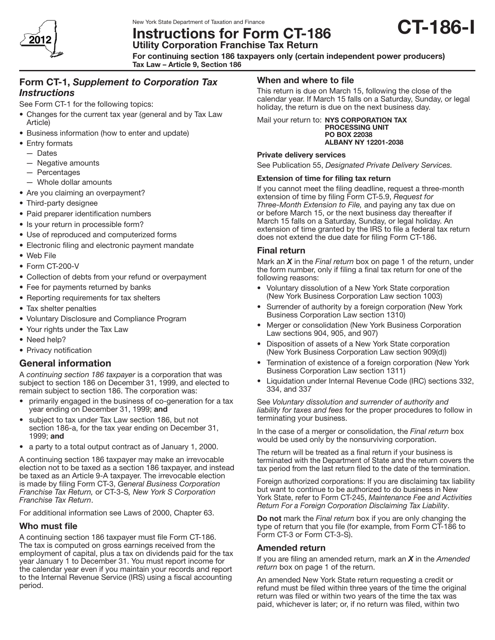

# Instructions for Form CT-186 Utility Corporation Franchise Tax Return



For continuing section 186 taxpayers only (certain independent power producers) Tax Law – Article 9, Section 186

## Form CT-1, *Supplement to Corporation Tax Instructions*

See Form CT-1 for the following topics:

- Changes for the current tax year (general and by Tax Law Article)
- Business information (how to enter and update)
- Entry formats
	- — Dates
	- — Negative amounts
	- — Percentages
	- Whole dollar amounts
- Are you claiming an overpayment?
- Third-party designee
- Paid preparer identification numbers
- Is your return in processible form?
- Use of reproduced and computerized forms
- Electronic filing and electronic payment mandate
- Web File
- Form CT-200-V
- Collection of debts from your refund or overpayment
- Fee for payments returned by banks
- Reporting requirements for tax shelters
- Tax shelter penalties
- • Voluntary Disclosure and Compliance Program
- Your rights under the Tax Law
- Need help?
- Privacy notification

## General information

A *continuing section 186 taxpayer* is a corporation that was subject to section 186 on December 31, 1999, and elected to remain subject to section 186. The corporation was:

- primarily engaged in the business of co-generation for a tax year ending on December 31, 1999; and
- subject to tax under Tax Law section 186, but not section 186-a, for the tax year ending on December 31, 1999; and
- a party to a total output contract as of January 1, 2000.

A continuing section 186 taxpayer may make an irrevocable election not to be taxed as a section 186 taxpayer, and instead be taxed as an Article 9‑A taxpayer. The irrevocable election is made by filing Form CT‑3, *General Business Corporation Franchise Tax Return,* or CT‑3‑S*, New York S Corporation Franchise Tax Return*.

For additional information see Laws of 2000, Chapter 63.

## Who must file

A continuing section 186 taxpayer must file Form CT-186. The tax is computed on gross earnings received from the employment of capital, plus a tax on dividends paid for the tax year January 1 to December 31. You must report income for the calendar year even if you maintain your records and report to the Internal Revenue Service (IRS) using a fiscal accounting period.

## When and where to file

This return is due on March 15, following the close of the calendar year. If March 15 falls on a Saturday, Sunday, or legal holiday, the return is due on the next business day.

Mail your return to: NYS CORPORATION TAX PROCESSING UNIT PO BOX 22038 ALBANY NY 12201-2038

#### Private delivery services

See Publication 55, *Designated Private Delivery Services.* 

#### Extension of time for filing tax return

If you cannot meet the filing deadline, request a three-month extension of time by filing Form CT-5.9, *Request for Three-Month Extension to File,* and paying any tax due on or before March 15, or the next business day thereafter if March 15 falls on a Saturday, Sunday, or legal holiday. An extension of time granted by the IRS to file a federal tax return does not extend the due date for filing Form CT-186.

## Final return

Mark an *X* in the *Final return* box on page 1 of the return, under the form number, only if filing a final tax return for one of the following reasons:

- Voluntary dissolution of a New York State corporation (New York Business Corporation Law section 1003)
- Surrender of authority by a foreign corporation (New York Business Corporation Law section 1310)
- Merger or consolidation (New York Business Corporation Law sections 904, 905, and 907)
- Disposition of assets of a New York State corporation (New York Business Corporation Law section 909(d))
- Termination of existence of a foreign corporation (New York Business Corporation Law section 1311)
- Liquidation under Internal Revenue Code (IRC) sections 332, 334, and 337

See *Voluntary dissolution and surrender of authority and liability for taxes and fees* for the proper procedures to follow in terminating your business.

In the case of a merger or consolidation, the *Final return* box would be used only by the nonsurviving corporation.

The return will be treated as a final return if your business is terminated with the Department of State and the return covers the tax period from the last return filed to the date of the termination.

Foreign authorized corporations: If you are disclaiming tax liability but want to continue to be authorized to do business in New York State, refer to Form CT-245, *Maintenance Fee and Activities Return For a Foreign Corporation Disclaiming Tax Liability*.

Do not mark the *Final return* box if you are only changing the type of return that you file (for example, from Form CT‑186 to Form CT-3 or Form CT-3-S).

#### Amended return

If you are filing an amended return, mark an *X* in the *Amended return* box on page 1 of the return.

An amended New York State return requesting a credit or refund must be filed within three years of the time the original return was filed or within two years of the time the tax was paid, whichever is later; or, if no return was filed, within two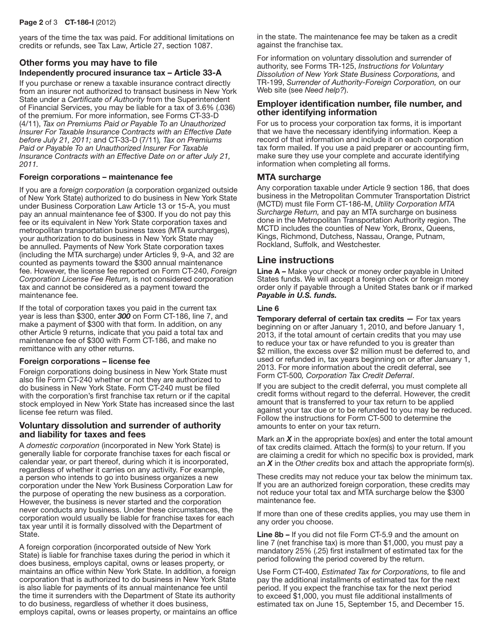years of the time the tax was paid. For additional limitations on credits or refunds, see Tax Law, Article 27, section 1087.

## Other forms you may have to file Independently procured insurance tax – Article 33-A

If you purchase or renew a taxable insurance contract directly from an insurer not authorized to transact business in New York State under a *Certificate of Authority* from the Superintendent of Financial Services, you may be liable for a tax of 3.6% (.036) of the premium. For more information, see Forms CT-33-D (4/11), *Tax on Premiums Paid or Payable To an Unauthorized Insurer For Taxable Insurance Contracts with an Effective Date before July 21, 2011;* and CT-33-D (7/11)*, Tax on Premiums Paid or Payable To an Unauthorized Insurer For Taxable Insurance Contracts with an Effective Date on or after July 21, 2011.*

#### Foreign corporations – maintenance fee

If you are a *foreign corporation* (a corporation organized outside of New York State) authorized to do business in New York State under Business Corporation Law Article 13 or 15‑A, you must pay an annual maintenance fee of \$300. If you do not pay this fee or its equivalent in New York State corporation taxes and metropolitan transportation business taxes (MTA surcharges), your authorization to do business in New York State may be annulled. Payments of New York State corporation taxes (including the MTA surcharge) under Articles 9, 9‑A, and 32 are counted as payments toward the \$300 annual maintenance fee. However, the license fee reported on Form CT‑240, *Foreign Corporation License Fee Return,* is not considered corporation tax and cannot be considered as a payment toward the maintenance fee.

If the total of corporation taxes you paid in the current tax year is less than \$300, enter *300* on Form CT‑186, line 7, and make a payment of \$300 with that form. In addition, on any other Article 9 returns, indicate that you paid a total tax and maintenance fee of \$300 with Form CT-186, and make no remittance with any other returns.

#### Foreign corporations – license fee

Foreign corporations doing business in New York State must also file Form CT-240 whether or not they are authorized to do business in New York State. Form CT-240 must be filed with the corporation's first franchise tax return or if the capital stock employed in New York State has increased since the last license fee return was filed.

#### Voluntary dissolution and surrender of authority and liability for taxes and fees

A *domestic corporation* (incorporated in New York State) is generally liable for corporate franchise taxes for each fiscal or calendar year, or part thereof, during which it is incorporated, regardless of whether it carries on any activity. For example, a person who intends to go into business organizes a new corporation under the New York Business Corporation Law for the purpose of operating the new business as a corporation. However, the business is never started and the corporation never conducts any business. Under these circumstances, the corporation would usually be liable for franchise taxes for each tax year until it is formally dissolved with the Department of State.

A foreign corporation (incorporated outside of New York State) is liable for franchise taxes during the period in which it does business, employs capital, owns or leases property, or maintains an office within New York State. In addition, a foreign corporation that is authorized to do business in New York State is also liable for payments of its annual maintenance fee until the time it surrenders with the Department of State its authority to do business, regardless of whether it does business, employs capital, owns or leases property, or maintains an office in the state. The maintenance fee may be taken as a credit against the franchise tax.

For information on voluntary dissolution and surrender of authority, see Forms TR-125, *Instructions for Voluntary Dissolution of New York State Business Corporations,* and TR-199, *Surrender of Authority-Foreign Corporation,* on our Web site (see *Need help?*).

#### Employer identification number, file number, and other identifying information

For us to process your corporation tax forms, it is important that we have the necessary identifying information. Keep a record of that information and include it on each corporation tax form mailed. If you use a paid preparer or accounting firm, make sure they use your complete and accurate identifying information when completing all forms.

## MTA surcharge

Any corporation taxable under Article 9 section 186, that does business in the Metropolitan Commuter Transportation District (MCTD) must file Form CT‑186‑M, *Utility Corporation MTA Surcharge Return,* and pay an MTA surcharge on business done in the Metropolitan Transportation Authority region. The MCTD includes the counties of New York, Bronx, Queens, Kings, Richmond, Dutchess, Nassau, Orange, Putnam, Rockland, Suffolk, and Westchester.

## Line instructions

Line A – Make your check or money order payable in United States funds. We will accept a foreign check or foreign money order only if payable through a United States bank or if marked *Payable in U.S. funds.*

#### Line 6

Temporary deferral of certain tax credits — For tax years beginning on or after January 1, 2010, and before January 1, 2013, if the total amount of certain credits that you may use to reduce your tax or have refunded to you is greater than \$2 million, the excess over \$2 million must be deferred to, and used or refunded in, tax years beginning on or after January 1, 2013. For more information about the credit deferral, see Form CT-500*, Corporation Tax Credit Deferral*.

If you are subject to the credit deferral, you must complete all credit forms without regard to the deferral. However, the credit amount that is transferred to your tax return to be applied against your tax due or to be refunded to you may be reduced. Follow the instructions for Form CT-500 to determine the amounts to enter on your tax return.

Mark an *X* in the appropriate box(es) and enter the total amount of tax credits claimed. Attach the form(s) to your return. If you are claiming a credit for which no specific box is provided, mark an *X* in the *Other credits* box and attach the appropriate form(s).

These credits may not reduce your tax below the minimum tax. If you are an authorized foreign corporation, these credits may not reduce your total tax and MTA surcharge below the \$300 maintenance fee.

If more than one of these credits applies, you may use them in any order you choose.

Line 8b – If you did not file Form CT-5.9 and the amount on line 7 (net franchise tax) is more than \$1,000, you must pay a mandatory 25% (.25) first installment of estimated tax for the period following the period covered by the return.

Use Form CT-400, *Estimated Tax for Corporations,* to file and pay the additional installments of estimated tax for the next period. If you expect the franchise tax for the next period to exceed \$1,000, you must file additional installments of estimated tax on June 15, September 15, and December 15.